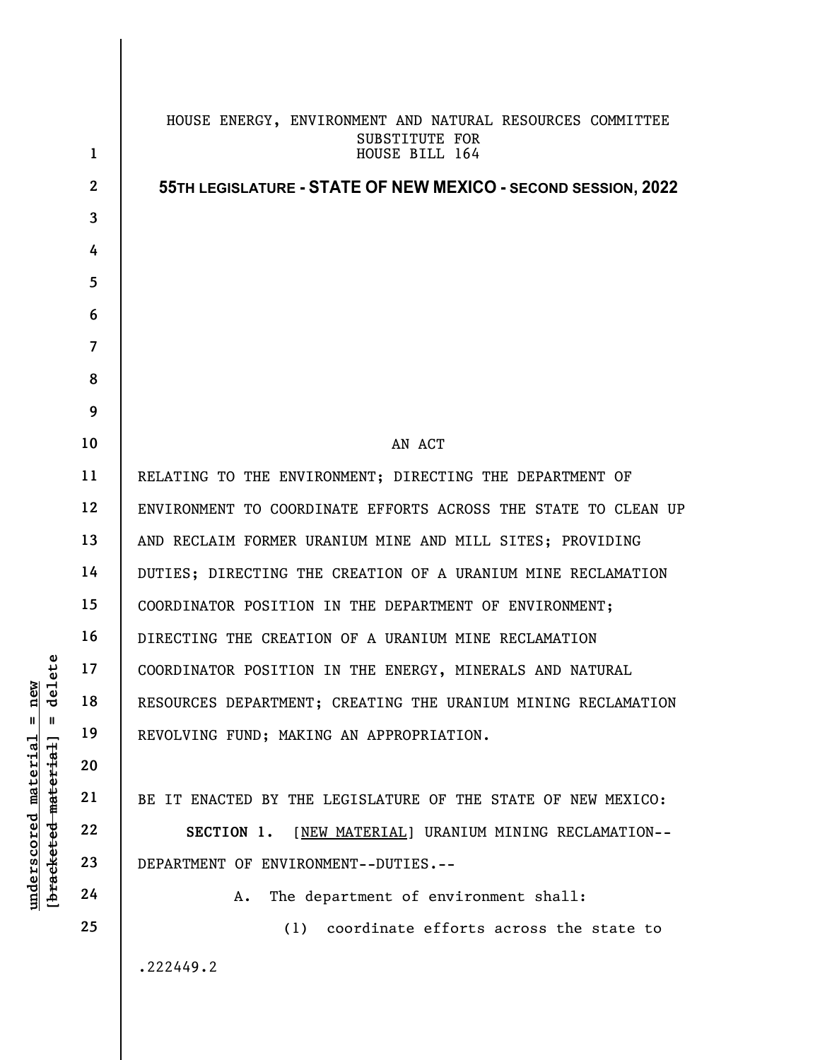|                                                                                                                               | $\mathbf{1}$   | HOUSE ENERGY, ENVIRONMENT AND NATURAL RESOURCES COMMITTEE<br>SUBSTITUTE FOR<br>HOUSE BILL 164 |
|-------------------------------------------------------------------------------------------------------------------------------|----------------|-----------------------------------------------------------------------------------------------|
|                                                                                                                               | $\mathbf{2}$   | 55TH LEGISLATURE - STATE OF NEW MEXICO - SECOND SESSION, 2022                                 |
| ete<br>$\frac{1}{2}$ new<br>del<br>$\mathbf{I}$<br>[ <del>bracketed material</del> ]<br><u>material</u><br><u>underscored</u> | $\mathbf{3}$   |                                                                                               |
|                                                                                                                               | 4              |                                                                                               |
|                                                                                                                               | 5              |                                                                                               |
|                                                                                                                               | 6              |                                                                                               |
|                                                                                                                               | $\overline{7}$ |                                                                                               |
|                                                                                                                               | 8              |                                                                                               |
|                                                                                                                               | 9              |                                                                                               |
|                                                                                                                               | 10             | AN ACT                                                                                        |
|                                                                                                                               | 11             | RELATING TO THE ENVIRONMENT; DIRECTING THE DEPARTMENT OF                                      |
|                                                                                                                               | 12             | ENVIRONMENT TO COORDINATE EFFORTS ACROSS THE STATE TO CLEAN UP                                |
|                                                                                                                               | 13             | AND RECLAIM FORMER URANIUM MINE AND MILL SITES; PROVIDING                                     |
|                                                                                                                               | 14             | DUTIES; DIRECTING THE CREATION OF A URANIUM MINE RECLAMATION                                  |
|                                                                                                                               | 15             | COORDINATOR POSITION IN THE DEPARTMENT OF ENVIRONMENT;                                        |
|                                                                                                                               | 16             | DIRECTING THE CREATION OF A URANIUM MINE RECLAMATION                                          |
|                                                                                                                               | 17             | COORDINATOR POSITION IN THE ENERGY, MINERALS AND NATURAL                                      |
|                                                                                                                               | 18             | RESOURCES DEPARTMENT; CREATING THE URANIUM MINING RECLAMATION                                 |
|                                                                                                                               | 19             | REVOLVING FUND; MAKING AN APPROPRIATION.                                                      |
|                                                                                                                               | 20             |                                                                                               |
|                                                                                                                               | 21             | BE IT ENACTED BY THE LEGISLATURE OF THE STATE OF NEW MEXICO:                                  |
|                                                                                                                               | 22             | SECTION 1.<br>[NEW MATERIAL] URANIUM MINING RECLAMATION--                                     |
|                                                                                                                               | 23             | DEPARTMENT OF ENVIRONMENT--DUTIES.--                                                          |
|                                                                                                                               | 24             | The department of environment shall:<br>Α.                                                    |
|                                                                                                                               | 25             | coordinate efforts across the state to<br>(1)                                                 |
|                                                                                                                               |                | .222449.2                                                                                     |
|                                                                                                                               |                |                                                                                               |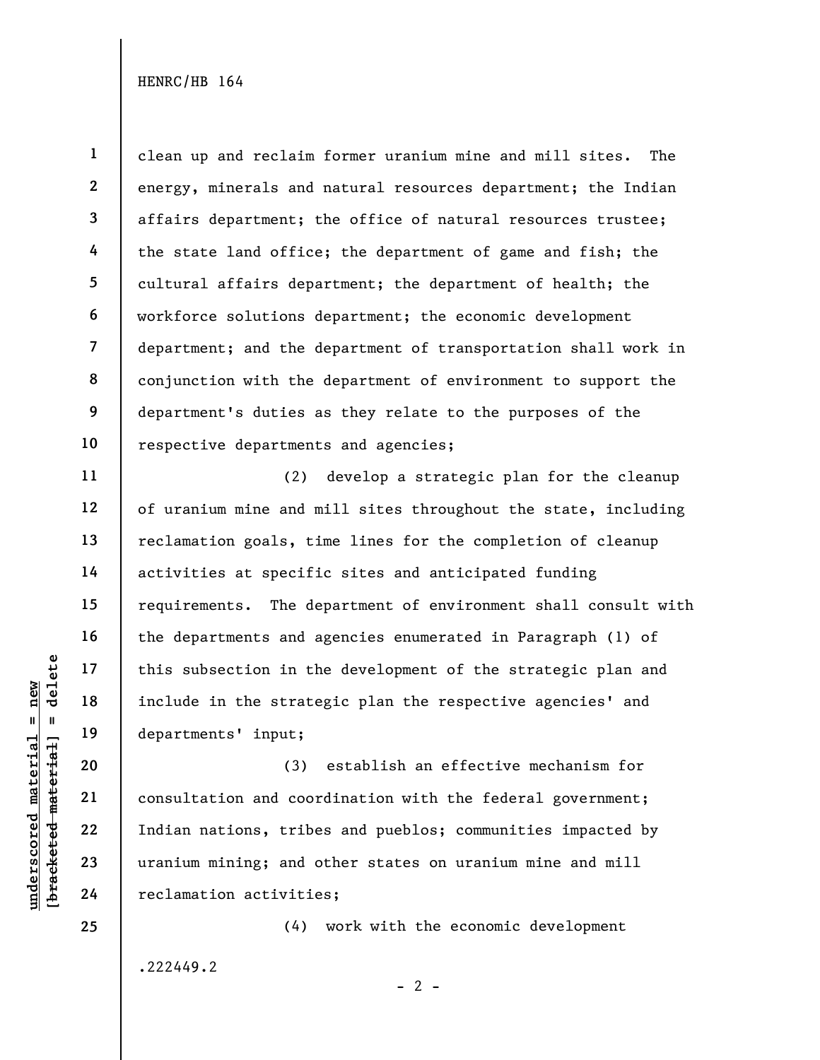1 2 3 4 5 6 7 8 9 10 clean up and reclaim former uranium mine and mill sites. The energy, minerals and natural resources department; the Indian affairs department; the office of natural resources trustee; the state land office; the department of game and fish; the cultural affairs department; the department of health; the workforce solutions department; the economic development department; and the department of transportation shall work in conjunction with the department of environment to support the department's duties as they relate to the purposes of the respective departments and agencies;

(2) develop a strategic plan for the cleanup of uranium mine and mill sites throughout the state, including reclamation goals, time lines for the completion of cleanup activities at specific sites and anticipated funding requirements. The department of environment shall consult with the departments and agencies enumerated in Paragraph (1) of this subsection in the development of the strategic plan and include in the strategic plan the respective agencies' and departments' input;

understand material material end and corresponding this subsection in the strate<br>
include in the strate<br>
departments' input;<br>
20<br>
10<br>
10<br>
22<br>
23<br>
23<br>
24<br>
24<br>
22<br>
24<br>
22<br>
24<br>
22<br>
24<br>
22<br>
24<br>
22<br>
24<br>
22<br>
24<br>
22<br>
24<br>
22<br>
24<br> (3) establish an effective mechanism for consultation and coordination with the federal government; Indian nations, tribes and pueblos; communities impacted by uranium mining; and other states on uranium mine and mill reclamation activities;

.222449.2

(4) work with the economic development

11

12

13

14

15

16

17

18

19

20

21

22

23

24

25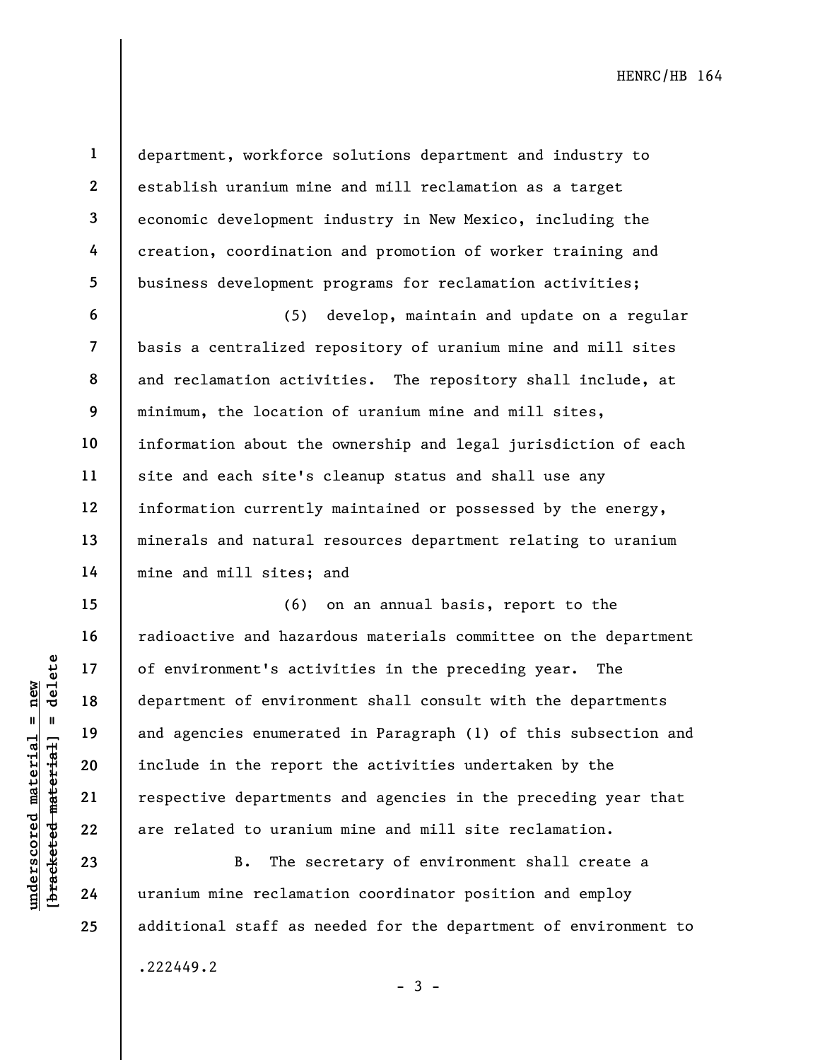1

2

3

4

5

6

7

8

9

10

11

12

13

14

15

16

17

18

19

20

21

22

23

24

25

department, workforce solutions department and industry to establish uranium mine and mill reclamation as a target economic development industry in New Mexico, including the creation, coordination and promotion of worker training and business development programs for reclamation activities;

(5) develop, maintain and update on a regular basis a centralized repository of uranium mine and mill sites and reclamation activities. The repository shall include, at minimum, the location of uranium mine and mill sites, information about the ownership and legal jurisdiction of each site and each site's cleanup status and shall use any information currently maintained or possessed by the energy, minerals and natural resources department relating to uranium mine and mill sites; and

understand material and agencies enumerated material and agencies enumerated material and agencies enumerated material and agencies enumerated material and agencies enumerated in the report respective department of environ (6) on an annual basis, report to the radioactive and hazardous materials committee on the department of environment's activities in the preceding year. The department of environment shall consult with the departments and agencies enumerated in Paragraph (1) of this subsection and include in the report the activities undertaken by the respective departments and agencies in the preceding year that are related to uranium mine and mill site reclamation.

B. The secretary of environment shall create a uranium mine reclamation coordinator position and employ additional staff as needed for the department of environment to

.222449.2

 $-3 -$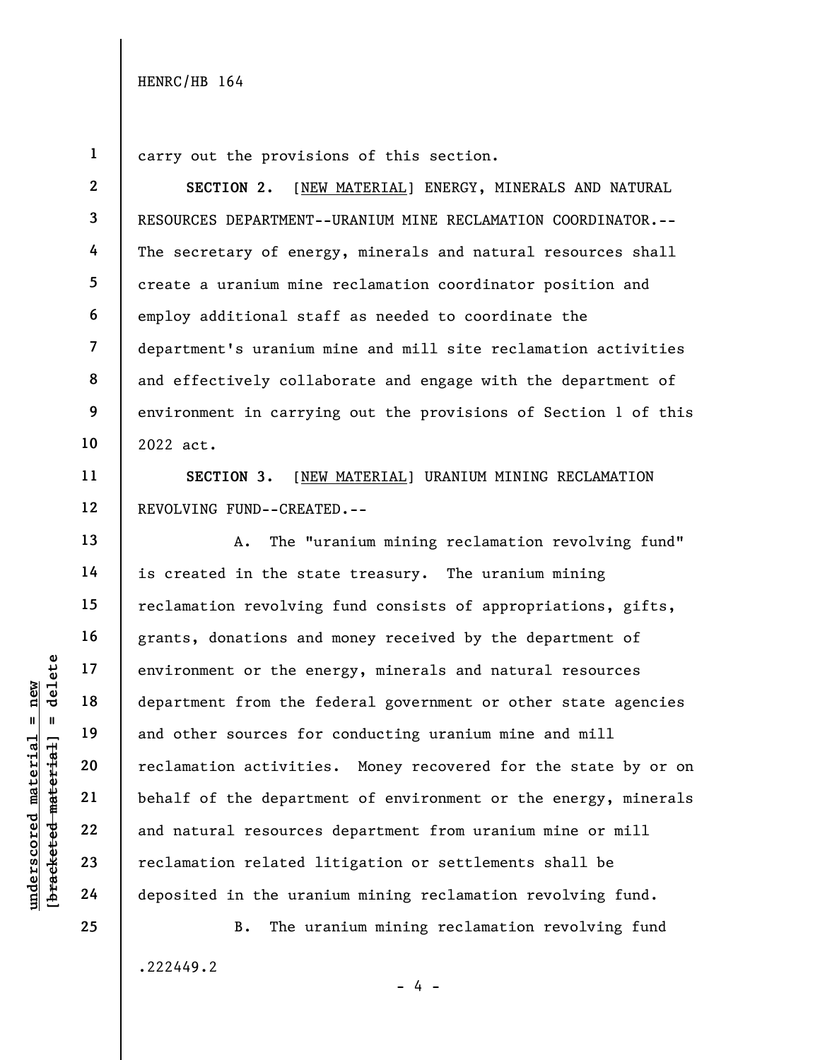2

3

4

5

6

7

8

9

10

11

13

14

15

16

17

18

19

20

21

22

23

24

1 carry out the provisions of this section.

SECTION 2. [NEW MATERIAL] ENERGY, MINERALS AND NATURAL RESOURCES DEPARTMENT--URANIUM MINE RECLAMATION COORDINATOR.-- The secretary of energy, minerals and natural resources shall create a uranium mine reclamation coordinator position and employ additional staff as needed to coordinate the department's uranium mine and mill site reclamation activities and effectively collaborate and engage with the department of environment in carrying out the provisions of Section 1 of this 2022 act.

12 SECTION 3. [NEW MATERIAL] URANIUM MINING RECLAMATION REVOLVING FUND--CREATED.--

underscored material = new [bracketed material] = delete A. The "uranium mining reclamation revolving fund" is created in the state treasury. The uranium mining reclamation revolving fund consists of appropriations, gifts, grants, donations and money received by the department of environment or the energy, minerals and natural resources department from the federal government or other state agencies and other sources for conducting uranium mine and mill reclamation activities. Money recovered for the state by or on behalf of the department of environment or the energy, minerals and natural resources department from uranium mine or mill reclamation related litigation or settlements shall be deposited in the uranium mining reclamation revolving fund.

> B. The uranium mining reclamation revolving fund .222449.2 - 4 -

25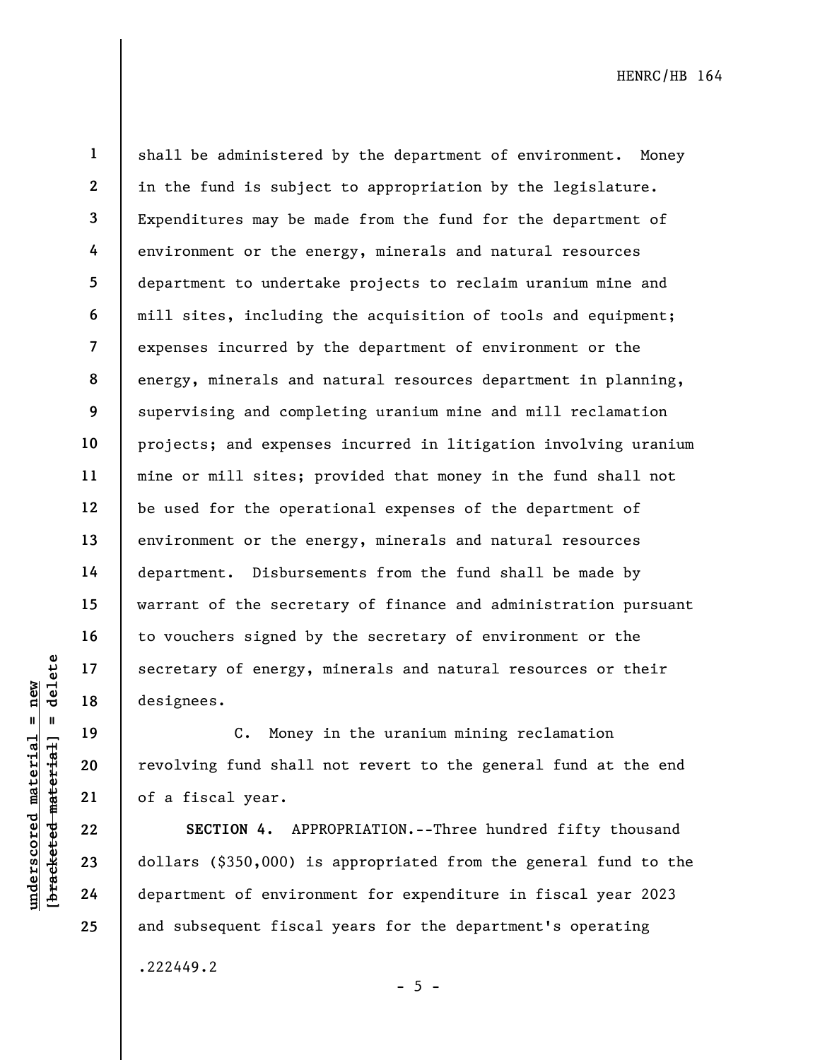19

20

21

22

23

24

25

1 2 3 4 5 6 7 8 9 10 11 12 13 14 15 16 17 18 shall be administered by the department of environment. Money in the fund is subject to appropriation by the legislature. Expenditures may be made from the fund for the department of environment or the energy, minerals and natural resources department to undertake projects to reclaim uranium mine and mill sites, including the acquisition of tools and equipment; expenses incurred by the department of environment or the energy, minerals and natural resources department in planning, supervising and completing uranium mine and mill reclamation projects; and expenses incurred in litigation involving uranium mine or mill sites; provided that money in the fund shall not be used for the operational expenses of the department of environment or the energy, minerals and natural resources department. Disbursements from the fund shall be made by warrant of the secretary of finance and administration pursuant to vouchers signed by the secretary of environment or the secretary of energy, minerals and natural resources or their designees.

C. Money in the uranium mining reclamation revolving fund shall not revert to the general fund at the end of a fiscal year.

understand material secretary of energy,<br>
and the set of energy,<br>
designees.<br>
C. Money<br>
revolving fund shall<br>
energy and shall<br>
21<br>
of a fiscal year.<br>
22<br>
dollars (\$350,000) is<br>
24<br>
department of environ SECTION 4. APPROPRIATION.--Three hundred fifty thousand dollars (\$350,000) is appropriated from the general fund to the department of environment for expenditure in fiscal year 2023 and subsequent fiscal years for the department's operating

.222449.2

 $- 5 -$